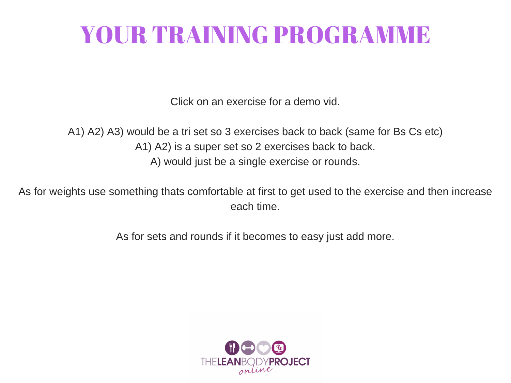## YOUR TRAINING PROGRAMME

Click on an exercise for a demo vid.

A1) A2) A3) would be a tri set so 3 exercises back to back (same for Bs Cs etc) A1) A2) is a super set so 2 exercises back to back. A) would just be a single exercise or rounds.

As for weights use something thats comfortable at first to get used to the exercise and then increase each time.

As for sets and rounds if it becomes to easy just add more.